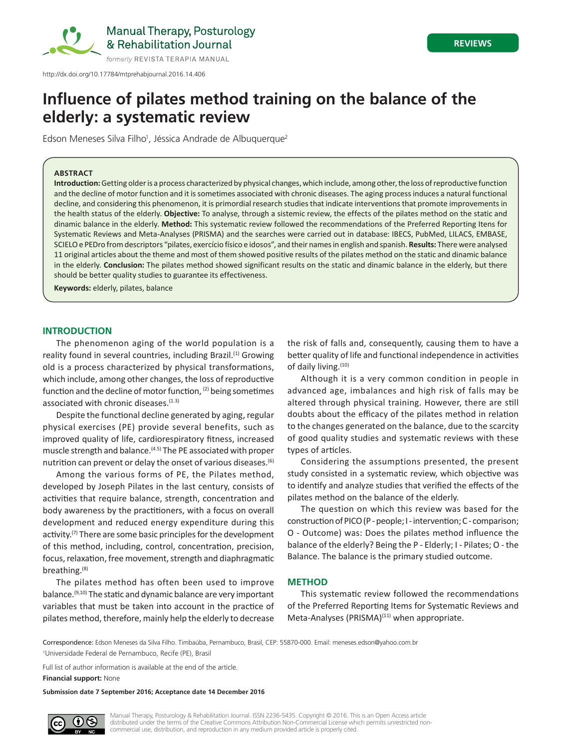

http://dx.doi.org/10.17784/mtprehabjournal.2016.14.406

# **Influence of pilates method training on the balance of the elderly: a systematic review**

Edson Meneses Silva Filho<sup>1</sup>, Jéssica Andrade de Albuquerque<sup>2</sup>

#### **ABSTRACT**

**Introduction:** Getting older is a process characterized by physical changes, which include, among other, the loss of reproductive function and the decline of motor function and it is sometimes associated with chronic diseases. The aging process induces a natural functional decline, and considering this phenomenon, it is primordial research studies that indicate interventions that promote improvements in the health status of the elderly. **Objective:** To analyse, through a sistemic review, the effects of the pilates method on the static and dinamic balance in the elderly. **Method:** This systematic review followed the recommendations of the Preferred Reporting Itens for Systematic Reviews and Meta-Analyses (PRISMA) and the searches were carried out in database: IBECS, PubMed, LILACS, EMBASE, SCIELO e PEDro from descriptors "pilates, exercício físico e idosos", and their names in english and spanish. **Results:** There were analysed 11 original articles about the theme and most of them showed positive results of the pilates method on the static and dinamic balance in the elderly. **Conclusion:** The pilates method showed significant results on the static and dinamic balance in the elderly, but there should be better quality studies to guarantee its effectiveness.

**Keywords:** elderly, pilates, balance

## **INTRODUCTION**

The phenomenon aging of the world population is a reality found in several countries, including Brazil.<sup>(1)</sup> Growing old is a process characterized by physical transformations, which include, among other changes, the loss of reproductive function and the decline of motor function, (2) being sometimes associated with chronic diseases.<sup>(1.3)</sup>

Despite the functional decline generated by aging, regular physical exercises (PE) provide several benefits, such as improved quality of life, cardiorespiratory fitness, increased muscle strength and balance.(4.5) The PE associated with proper nutrition can prevent or delay the onset of various diseases.<sup>(6)</sup>

Among the various forms of PE, the Pilates method, developed by Joseph Pilates in the last century, consists of activities that require balance, strength, concentration and body awareness by the practitioners, with a focus on overall development and reduced energy expenditure during this activity.<sup>(7)</sup> There are some basic principles for the development of this method, including, control, concentration, precision, focus, relaxation, free movement, strength and diaphragmatic breathing.(8)

The pilates method has often been used to improve balance.(9,10) The static and dynamic balance are very important variables that must be taken into account in the practice of pilates method, therefore, mainly help the elderly to decrease

the risk of falls and, consequently, causing them to have a better quality of life and functional independence in activities of daily living.<sup>(10)</sup>

Although it is a very common condition in people in advanced age, imbalances and high risk of falls may be altered through physical training. However, there are still doubts about the efficacy of the pilates method in relation to the changes generated on the balance, due to the scarcity of good quality studies and systematic reviews with these types of articles.

Considering the assumptions presented, the present study consisted in a systematic review, which objective was to identify and analyze studies that verified the effects of the pilates method on the balance of the elderly.

The question on which this review was based for the construction of PICO (P - people; I - intervention; C - comparison; O - Outcome) was: Does the pilates method influence the balance of the elderly? Being the P - Elderly; I - Pilates; O - the Balance. The balance is the primary studied outcome.

# **METHOD**

This systematic review followed the recommendations of the Preferred Reporting Items for Systematic Reviews and Meta-Analyses (PRISMA)<sup>(11)</sup> when appropriate.

Correspondence: Edson Meneses da Silva Filho. Timbaúba, Pernambuco, Brasil, CEP: 55870-000. Email: meneses.edson@yahoo.com.br 1 Universidade Federal de Pernambuco, Recife (PE), Brasil

Full list of author information is available at the end of the article.

**Financial support:** None

**Submission date 7 September 2016; Acceptance date 14 December 2016**



Manual Therapy, Posturology & Rehabilitation Journal. ISSN 2236-5435. Copyright © 2016. This is an Open Access article distributed under the terms of the Creative Commons Attribution Non-Commercial License which permits unrestricted noncommercial use, distribution, and reproduction in any medium provided article is properly cited.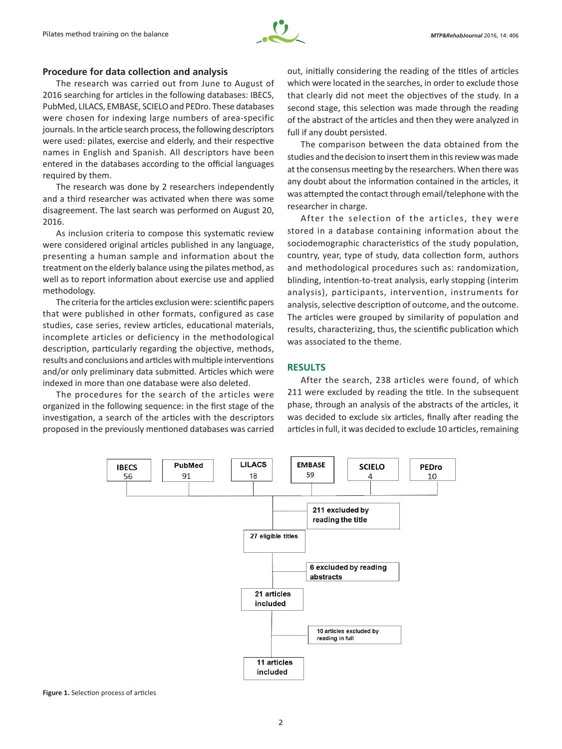

### **Procedure for data collection and analysis**

The research was carried out from June to August of 2016 searching for articles in the following databases: IBECS, PubMed, LILACS, EMBASE, SCIELO and PEDro. These databases were chosen for indexing large numbers of area-specific journals. In the article search process, the following descriptors were used: pilates, exercise and elderly, and their respective names in English and Spanish. All descriptors have been entered in the databases according to the official languages required by them.

The research was done by 2 researchers independently and a third researcher was activated when there was some disagreement. The last search was performed on August 20, 2016.

As inclusion criteria to compose this systematic review were considered original articles published in any language, presenting a human sample and information about the treatment on the elderly balance using the pilates method, as well as to report information about exercise use and applied methodology.

The criteria for the articles exclusion were: scientific papers that were published in other formats, configured as case studies, case series, review articles, educational materials, incomplete articles or deficiency in the methodological description, particularly regarding the objective, methods, results and conclusions and articles with multiple interventions and/or only preliminary data submitted. Articles which were indexed in more than one database were also deleted.

The procedures for the search of the articles were organized in the following sequence: in the first stage of the investigation, a search of the articles with the descriptors proposed in the previously mentioned databases was carried

out, initially considering the reading of the titles of articles which were located in the searches, in order to exclude those that clearly did not meet the objectives of the study. In a second stage, this selection was made through the reading of the abstract of the articles and then they were analyzed in full if any doubt persisted.

The comparison between the data obtained from the studies and the decision to insert them in this review was made at the consensus meeting by the researchers. When there was any doubt about the information contained in the articles, it was attempted the contact through email/telephone with the researcher in charge.

After the selection of the articles, they were stored in a database containing information about the sociodemographic characteristics of the study population, country, year, type of study, data collection form, authors and methodological procedures such as: randomization, blinding, intention-to-treat analysis, early stopping (interim analysis), participants, intervention, instruments for analysis, selective description of outcome, and the outcome. The articles were grouped by similarity of population and results, characterizing, thus, the scientific publication which was associated to the theme.

# **RESULTS**

After the search, 238 articles were found, of which 211 were excluded by reading the title. In the subsequent phase, through an analysis of the abstracts of the articles, it was decided to exclude six articles, finally after reading the articles in full, it was decided to exclude 10 articles, remaining



**Figure 1.** Selection process of articles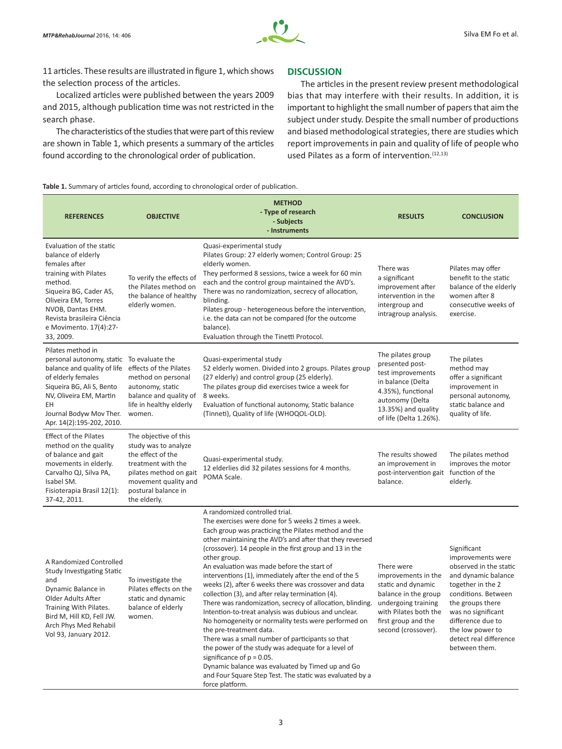

11 articles. These results are illustrated in figure 1, which shows the selection process of the articles.

Localized articles were published between the years 2009 and 2015, although publication time was not restricted in the search phase.

The characteristics of the studies that were part of this review are shown in Table 1, which presents a summary of the articles found according to the chronological order of publication.

## **DISCUSSION**

The articles in the present review present methodological bias that may interfere with their results. In addition, it is important to highlight the small number of papers that aim the subject under study. Despite the small number of productions and biased methodological strategies, there are studies which report improvements in pain and quality of life of people who used Pilates as a form of intervention.<sup>(12,13)</sup>

**Table 1.** Summary of articles found, according to chronological order of publication.

| <b>REFERENCES</b>                                                                                                                                                                                                                                                | <b>OBJECTIVE</b>                                                                                                                                                                  | <b>METHOD</b><br>- Type of research<br>- Subjects<br>- Instruments                                                                                                                                                                                                                                                                                                                                                                                                                                                                                                                                                                                                                                                                                                                                                                                                                                                                                                                           | <b>RESULTS</b>                                                                                                                                                                | <b>CONCLUSION</b>                                                                                                                                                                                                                                           |
|------------------------------------------------------------------------------------------------------------------------------------------------------------------------------------------------------------------------------------------------------------------|-----------------------------------------------------------------------------------------------------------------------------------------------------------------------------------|----------------------------------------------------------------------------------------------------------------------------------------------------------------------------------------------------------------------------------------------------------------------------------------------------------------------------------------------------------------------------------------------------------------------------------------------------------------------------------------------------------------------------------------------------------------------------------------------------------------------------------------------------------------------------------------------------------------------------------------------------------------------------------------------------------------------------------------------------------------------------------------------------------------------------------------------------------------------------------------------|-------------------------------------------------------------------------------------------------------------------------------------------------------------------------------|-------------------------------------------------------------------------------------------------------------------------------------------------------------------------------------------------------------------------------------------------------------|
| Evaluation of the static<br>balance of elderly<br>females after<br>training with Pilates<br>method.<br>Siqueira BG, Cader AS,<br>Oliveira EM, Torres<br>NVOB, Dantas EHM.<br>Revista brasileira Ciência<br>e Movimento. 17(4):27-<br>33, 2009.                   | To verify the effects of<br>the Pilates method on<br>the balance of healthy<br>elderly women.                                                                                     | Quasi-experimental study<br>Pilates Group: 27 elderly women; Control Group: 25<br>elderly women.<br>They performed 8 sessions, twice a week for 60 min<br>each and the control group maintained the AVD's.<br>There was no randomization, secrecy of allocation,<br>blinding.<br>Pilates group - heterogeneous before the intervention,<br>i.e. the data can not be compared (for the outcome<br>balance).<br>Evaluation through the Tinetti Protocol.                                                                                                                                                                                                                                                                                                                                                                                                                                                                                                                                       | There was<br>a significant<br>improvement after<br>intervention in the<br>intergroup and<br>intragroup analysis.                                                              | Pilates may offer<br>benefit to the static<br>balance of the elderly<br>women after 8<br>consecutive weeks of<br>exercise.                                                                                                                                  |
| Pilates method in<br>personal autonomy, static To evaluate the<br>balance and quality of life effects of the Pilates<br>of elderly females<br>Siqueira BG, Ali S, Bento<br>NV, Oliveira EM, Martin<br>EΗ<br>Journal Bodyw Mov Ther.<br>Apr. 14(2):195-202, 2010. | method on personal<br>autonomy, static<br>balance and quality of<br>life in healthy elderly<br>women.                                                                             | Quasi-experimental study<br>52 elderly women. Divided into 2 groups. Pilates group<br>(27 elderly) and control group (25 elderly).<br>The pilates group did exercises twice a week for<br>8 weeks.<br>Evaluation of functional autonomy, Static balance<br>(Tinneti), Quality of life (WHOQOL-OLD).                                                                                                                                                                                                                                                                                                                                                                                                                                                                                                                                                                                                                                                                                          | The pilates group<br>presented post-<br>test improvements<br>in balance (Delta<br>4.35%), functional<br>autonomy (Delta<br>13.35%) and quality<br>of life (Delta 1.26%).      | The pilates<br>method may<br>offer a significant<br>improvement in<br>personal autonomy,<br>static balance and<br>quality of life.                                                                                                                          |
| <b>Effect of the Pilates</b><br>method on the quality<br>of balance and gait<br>movements in elderly.<br>Carvalho QJ, Silva PA,<br>Isabel SM.<br>Fisioterapia Brasil 12(1):<br>37-42, 2011.                                                                      | The objective of this<br>study was to analyze<br>the effect of the<br>treatment with the<br>pilates method on gait<br>movement quality and<br>postural balance in<br>the elderly. | Quasi-experimental study.<br>12 elderlies did 32 pilates sessions for 4 months.<br>POMA Scale.                                                                                                                                                                                                                                                                                                                                                                                                                                                                                                                                                                                                                                                                                                                                                                                                                                                                                               | The results showed<br>an improvement in<br>post-intervention gait function of the<br>balance.                                                                                 | The pilates method<br>improves the motor<br>elderly.                                                                                                                                                                                                        |
| A Randomized Controlled<br><b>Study Investigating Static</b><br>and<br>Dynamic Balance in<br>Older Adults After<br>Training With Pilates.<br>Bird M, Hill KD, Fell JW.<br>Arch Phys Med Rehabil<br>Vol 93, January 2012.                                         | To investigate the<br>Pilates effects on the<br>static and dynamic<br>balance of elderly<br>women.                                                                                | A randomized controlled trial.<br>The exercises were done for 5 weeks 2 times a week.<br>Each group was practicing the Pilates method and the<br>other maintaining the AVD's and after that they reversed<br>(crossover). 14 people in the first group and 13 in the<br>other group.<br>An evaluation was made before the start of<br>interventions (1), immediately after the end of the 5<br>weeks (2), after 6 weeks there was crossover and data<br>collection (3), and after relay termination (4).<br>There was randomization, secrecy of allocation, blinding.<br>Intention-to-treat analysis was dubious and unclear.<br>No homogeneity or normality tests were performed on<br>the pre-treatment data.<br>There was a small number of participants so that<br>the power of the study was adequate for a level of<br>significance of $p = 0.05$ .<br>Dynamic balance was evaluated by Timed up and Go<br>and Four Square Step Test. The static was evaluated by a<br>force platform. | There were<br>improvements in the<br>static and dynamic<br>balance in the group<br>undergoing training<br>with Pilates both the<br>first group and the<br>second (crossover). | Significant<br>improvements were<br>observed in the static<br>and dynamic balance<br>together in the 2<br>conditions. Between<br>the groups there<br>was no significant<br>difference due to<br>the low power to<br>detect real difference<br>between them. |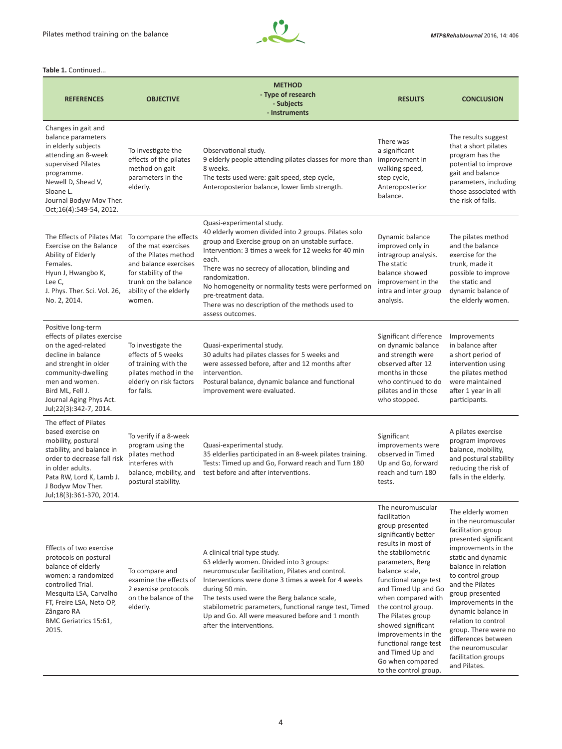

**Table 1. Continued.** 

|                                                                                                                                                                                                                                          |                                                                                                                                                            | <b>METHOD</b>                                                                                                                                                                                                                                                                                                                                                                                                                     |                                                                                                                                                                                                                                                                                                                                                                                                                       |                                                                                                                                                                                                                                                                                                                                                                                                       |
|------------------------------------------------------------------------------------------------------------------------------------------------------------------------------------------------------------------------------------------|------------------------------------------------------------------------------------------------------------------------------------------------------------|-----------------------------------------------------------------------------------------------------------------------------------------------------------------------------------------------------------------------------------------------------------------------------------------------------------------------------------------------------------------------------------------------------------------------------------|-----------------------------------------------------------------------------------------------------------------------------------------------------------------------------------------------------------------------------------------------------------------------------------------------------------------------------------------------------------------------------------------------------------------------|-------------------------------------------------------------------------------------------------------------------------------------------------------------------------------------------------------------------------------------------------------------------------------------------------------------------------------------------------------------------------------------------------------|
| <b>REFERENCES</b>                                                                                                                                                                                                                        | <b>OBJECTIVE</b>                                                                                                                                           | - Type of research<br>- Subjects<br>- Instruments                                                                                                                                                                                                                                                                                                                                                                                 | <b>RESULTS</b>                                                                                                                                                                                                                                                                                                                                                                                                        | <b>CONCLUSION</b>                                                                                                                                                                                                                                                                                                                                                                                     |
| Changes in gait and<br>balance parameters<br>in elderly subjects<br>attending an 8-week<br>supervised Pilates<br>programme.<br>Newell D, Shead V,<br>Sloane L.<br>Journal Bodyw Mov Ther.<br>Oct;16(4):549-54, 2012.                     | To investigate the<br>effects of the pilates<br>method on gait<br>parameters in the<br>elderly.                                                            | Observational study.<br>9 elderly people attending pilates classes for more than<br>8 weeks.<br>The tests used were: gait speed, step cycle,<br>Anteroposterior balance, lower limb strength.                                                                                                                                                                                                                                     | There was<br>a significant<br>improvement in<br>walking speed,<br>step cycle,<br>Anteroposterior<br>balance.                                                                                                                                                                                                                                                                                                          | The results suggest<br>that a short pilates<br>program has the<br>potential to improve<br>gait and balance<br>parameters, including<br>those associated with<br>the risk of falls.                                                                                                                                                                                                                    |
| The Effects of Pilates Mat To compare the effects<br>Exercise on the Balance<br>Ability of Elderly<br>Females.<br>Hyun J, Hwangbo K,<br>Lee C,<br>J. Phys. Ther. Sci. Vol. 26,<br>No. 2, 2014.                                           | of the mat exercises<br>of the Pilates method<br>and balance exercises<br>for stability of the<br>trunk on the balance<br>ability of the elderly<br>women. | Quasi-experimental study.<br>40 elderly women divided into 2 groups. Pilates solo<br>group and Exercise group on an unstable surface.<br>Intervention: 3 times a week for 12 weeks for 40 min<br>each.<br>There was no secrecy of allocation, blinding and<br>randomization.<br>No homogeneity or normality tests were performed on<br>pre-treatment data.<br>There was no description of the methods used to<br>assess outcomes. | Dynamic balance<br>improved only in<br>intragroup analysis.<br>The static<br>balance showed<br>improvement in the<br>intra and inter group<br>analysis.                                                                                                                                                                                                                                                               | The pilates method<br>and the balance<br>exercise for the<br>trunk, made it<br>possible to improve<br>the static and<br>dynamic balance of<br>the elderly women.                                                                                                                                                                                                                                      |
| Positive long-term<br>effects of pilates exercise<br>on the aged-related<br>decline in balance<br>and strenght in older<br>community-dwelling<br>men and women.<br>Bird ML, Fell J.<br>Journal Aging Phys Act.<br>Jul;22(3):342-7, 2014. | To investigate the<br>effects of 5 weeks<br>of training with the<br>pilates method in the<br>elderly on risk factors<br>for falls.                         | Quasi-experimental study.<br>30 adults had pilates classes for 5 weeks and<br>were assessed before, after and 12 months after<br>intervention.<br>Postural balance, dynamic balance and functional<br>improvement were evaluated.                                                                                                                                                                                                 | Significant difference<br>on dynamic balance<br>and strength were<br>observed after 12<br>months in those<br>who continued to do<br>pilates and in those<br>who stopped.                                                                                                                                                                                                                                              | Improvements<br>in balance after<br>a short period of<br>intervention using<br>the pilates method<br>were maintained<br>after 1 year in all<br>participants.                                                                                                                                                                                                                                          |
| The effect of Pilates<br>based exercise on<br>mobility, postural<br>stability, and balance in<br>order to decrease fall risk<br>in older adults.<br>Pata RW, Lord K, Lamb J.<br>J Bodyw Mov Ther.<br>Jul;18(3):361-370, 2014.            | To verify if a 8-week<br>program using the<br>pilates method<br>interferes with<br>balance, mobility, and<br>postural stability.                           | Quasi-experimental study.<br>35 elderlies participated in an 8-week pilates training.<br>Tests: Timed up and Go, Forward reach and Turn 180<br>test before and after interventions.                                                                                                                                                                                                                                               | Significant<br>improvements were<br>observed in Timed<br>Up and Go, forward<br>reach and turn 180<br>tests.                                                                                                                                                                                                                                                                                                           | A pilates exercise<br>program improves<br>balance, mobility,<br>and postural stability<br>reducing the risk of<br>falls in the elderly.                                                                                                                                                                                                                                                               |
| Effects of two exercise<br>protocols on postural<br>balance of elderly<br>women: a randomized<br>controlled Trial.<br>Mesquita LSA, Carvalho<br>FT, Freire LSA, Neto OP,<br>Zângaro RA<br>BMC Geriatrics 15:61,<br>2015.                 | To compare and<br>examine the effects of<br>2 exercise protocols<br>on the balance of the<br>elderly.                                                      | A clinical trial type study.<br>63 elderly women. Divided into 3 groups:<br>neuromuscular facilitation, Pilates and control.<br>Interventions were done 3 times a week for 4 weeks<br>during 50 min.<br>The tests used were the Berg balance scale,<br>stabilometric parameters, functional range test, Timed<br>Up and Go. All were measured before and 1 month<br>after the interventions.                                      | The neuromuscular<br>facilitation<br>group presented<br>significantly better<br>results in most of<br>the stabilometric<br>parameters, Berg<br>balance scale,<br>functional range test<br>and Timed Up and Go<br>when compared with<br>the control group.<br>The Pilates group<br>showed significant<br>improvements in the<br>functional range test<br>and Timed Up and<br>Go when compared<br>to the control group. | The elderly women<br>in the neuromuscular<br>facilitation group<br>presented significant<br>improvements in the<br>static and dynamic<br>balance in relation<br>to control group<br>and the Pilates<br>group presented<br>improvements in the<br>dynamic balance in<br>relation to control<br>group. There were no<br>differences between<br>the neuromuscular<br>facilitation groups<br>and Pilates. |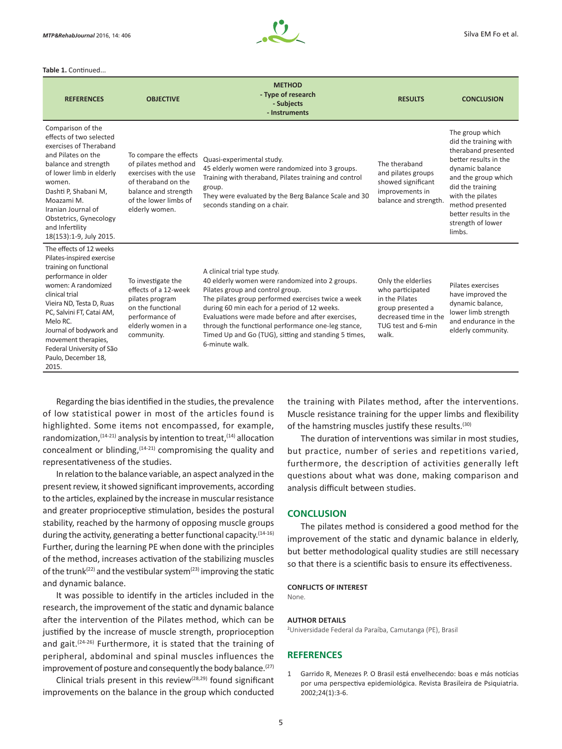

**Table 1.** Continued...

| <b>REFERENCES</b>                                                                                                                                                                                                                                                                                                                   | <b>OBJECTIVE</b>                                                                                                                                                    | <b>METHOD</b><br>- Type of research<br>- Subjects<br>- Instruments                                                                                                                                                                                                                                                                                                                                             | <b>RESULTS</b>                                                                                                                        | <b>CONCLUSION</b>                                                                                                                                                                                                                                      |
|-------------------------------------------------------------------------------------------------------------------------------------------------------------------------------------------------------------------------------------------------------------------------------------------------------------------------------------|---------------------------------------------------------------------------------------------------------------------------------------------------------------------|----------------------------------------------------------------------------------------------------------------------------------------------------------------------------------------------------------------------------------------------------------------------------------------------------------------------------------------------------------------------------------------------------------------|---------------------------------------------------------------------------------------------------------------------------------------|--------------------------------------------------------------------------------------------------------------------------------------------------------------------------------------------------------------------------------------------------------|
| Comparison of the<br>effects of two selected<br>exercises of Theraband<br>and Pilates on the<br>balance and strength<br>of lower limb in elderly<br>women.<br>Dashti P, Shabani M,<br>Moazami M.<br>Iranian Journal of<br>Obstetrics, Gynecology<br>and Infertility<br>18(153):1-9, July 2015.                                      | To compare the effects<br>of pilates method and<br>exercises with the use<br>of theraband on the<br>balance and strength<br>of the lower limbs of<br>elderly women. | Quasi-experimental study.<br>45 elderly women were randomized into 3 groups.<br>Training with theraband, Pilates training and control<br>group.<br>They were evaluated by the Berg Balance Scale and 30<br>seconds standing on a chair.                                                                                                                                                                        | The theraband<br>and pilates groups<br>showed significant<br>improvements in<br>balance and strength.                                 | The group which<br>did the training with<br>theraband presented<br>better results in the<br>dynamic balance<br>and the group which<br>did the training<br>with the pilates<br>method presented<br>better results in the<br>strength of lower<br>limbs. |
| The effects of 12 weeks<br>Pilates-inspired exercise<br>training on functional<br>performance in older<br>women: A randomized<br>clinical trial<br>Vieira ND, Testa D, Ruas<br>PC, Salvini FT, Catai AM,<br>Melo RC.<br>Journal of bodywork and<br>movement therapies,<br>Federal University of São<br>Paulo, December 18,<br>2015. | To investigate the<br>effects of a 12-week<br>pilates program<br>on the functional<br>performance of<br>elderly women in a<br>community.                            | A clinical trial type study.<br>40 elderly women were randomized into 2 groups.<br>Pilates group and control group.<br>The pilates group performed exercises twice a week<br>during 60 min each for a period of 12 weeks.<br>Evaluations were made before and after exercises,<br>through the functional performance one-leg stance,<br>Timed Up and Go (TUG), sitting and standing 5 times,<br>6-minute walk. | Only the elderlies<br>who participated<br>in the Pilates<br>group presented a<br>decreased time in the<br>TUG test and 6-min<br>walk. | Pilates exercises<br>have improved the<br>dynamic balance,<br>lower limb strength<br>and endurance in the<br>elderly community.                                                                                                                        |

Regarding the bias identified in the studies, the prevalence of low statistical power in most of the articles found is highlighted. Some items not encompassed, for example, randomization,  $(14-21)$  analysis by intention to treat,  $(14)$  allocation concealment or blinding,  $(14-21)$  compromising the quality and representativeness of the studies.

In relation to the balance variable, an aspect analyzed in the present review, it showed significant improvements, according to the articles, explained by the increase in muscular resistance and greater proprioceptive stimulation, besides the postural stability, reached by the harmony of opposing muscle groups during the activity, generating a better functional capacity.<sup>(14-16)</sup> Further, during the learning PE when done with the principles of the method, increases activation of the stabilizing muscles of the trunk<sup>(22)</sup> and the vestibular system<sup>(23)</sup> improving the static and dynamic balance.

It was possible to identify in the articles included in the research, the improvement of the static and dynamic balance after the intervention of the Pilates method, which can be justified by the increase of muscle strength, proprioception and gait.(24-26) Furthermore, it is stated that the training of peripheral, abdominal and spinal muscles influences the improvement of posture and consequently the body balance.<sup>(27)</sup>

Clinical trials present in this review(28,29) found significant improvements on the balance in the group which conducted the training with Pilates method, after the interventions. Muscle resistance training for the upper limbs and flexibility of the hamstring muscles justify these results.(30)

The duration of interventions was similar in most studies, but practice, number of series and repetitions varied, furthermore, the description of activities generally left questions about what was done, making comparison and analysis difficult between studies.

### **CONCLUSION**

The pilates method is considered a good method for the improvement of the static and dynamic balance in elderly, but better methodological quality studies are still necessary so that there is a scientific basis to ensure its effectiveness.

#### **CONFLICTS OF INTEREST**

None.

#### **AUTHOR DETAILS**

2 Universidade Federal da Paraíba, Camutanga (PE), Brasil

## **REFERENCES**

1 Garrido R, Menezes P. O Brasil está envelhecendo: boas e más notícias por uma perspectiva epidemiológica. Revista Brasileira de Psiquiatria. 2002;24(1):3-6.